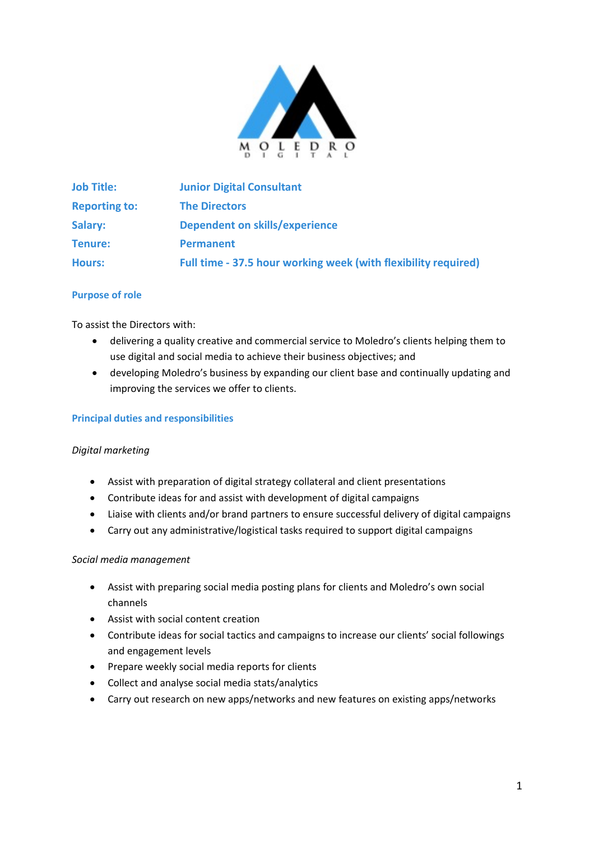

| <b>Job Title:</b>    | <b>Junior Digital Consultant</b>                               |
|----------------------|----------------------------------------------------------------|
| <b>Reporting to:</b> | <b>The Directors</b>                                           |
| Salary:              | Dependent on skills/experience                                 |
| Tenure:              | <b>Permanent</b>                                               |
| <b>Hours:</b>        | Full time - 37.5 hour working week (with flexibility required) |

## **Purpose of role**

To assist the Directors with:

- delivering a quality creative and commercial service to Moledro's clients helping them to use digital and social media to achieve their business objectives; and
- developing Moledro's business by expanding our client base and continually updating and improving the services we offer to clients.

#### **Principal duties and responsibilities**

#### *Digital marketing*

- Assist with preparation of digital strategy collateral and client presentations
- Contribute ideas for and assist with development of digital campaigns
- Liaise with clients and/or brand partners to ensure successful delivery of digital campaigns
- Carry out any administrative/logistical tasks required to support digital campaigns

#### *Social media management*

- Assist with preparing social media posting plans for clients and Moledro's own social channels
- Assist with social content creation
- Contribute ideas for social tactics and campaigns to increase our clients' social followings and engagement levels
- Prepare weekly social media reports for clients
- Collect and analyse social media stats/analytics
- Carry out research on new apps/networks and new features on existing apps/networks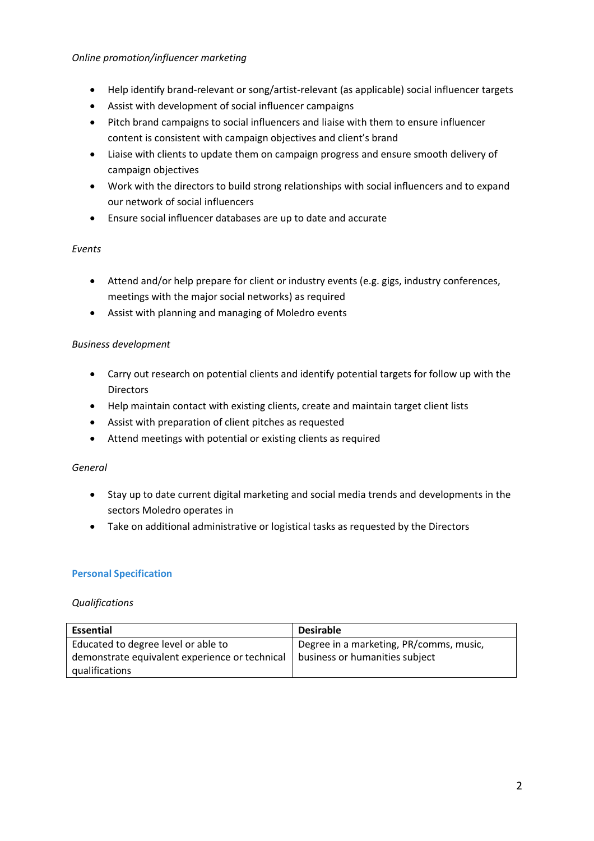## *Online promotion/influencer marketing*

- Help identify brand-relevant or song/artist-relevant (as applicable) social influencer targets
- Assist with development of social influencer campaigns
- Pitch brand campaigns to social influencers and liaise with them to ensure influencer content is consistent with campaign objectives and client's brand
- Liaise with clients to update them on campaign progress and ensure smooth delivery of campaign objectives
- Work with the directors to build strong relationships with social influencers and to expand our network of social influencers
- Ensure social influencer databases are up to date and accurate

## *Events*

- Attend and/or help prepare for client or industry events (e.g. gigs, industry conferences, meetings with the major social networks) as required
- Assist with planning and managing of Moledro events

## *Business development*

- Carry out research on potential clients and identify potential targets for follow up with the **Directors**
- Help maintain contact with existing clients, create and maintain target client lists
- Assist with preparation of client pitches as requested
- Attend meetings with potential or existing clients as required

## *General*

- Stay up to date current digital marketing and social media trends and developments in the sectors Moledro operates in
- Take on additional administrative or logistical tasks as requested by the Directors

## **Personal Specification**

## *Qualifications*

| <b>Essential</b>                               | <b>Desirable</b>                        |
|------------------------------------------------|-----------------------------------------|
| Educated to degree level or able to            | Degree in a marketing, PR/comms, music, |
| demonstrate equivalent experience or technical | business or humanities subject          |
| qualifications                                 |                                         |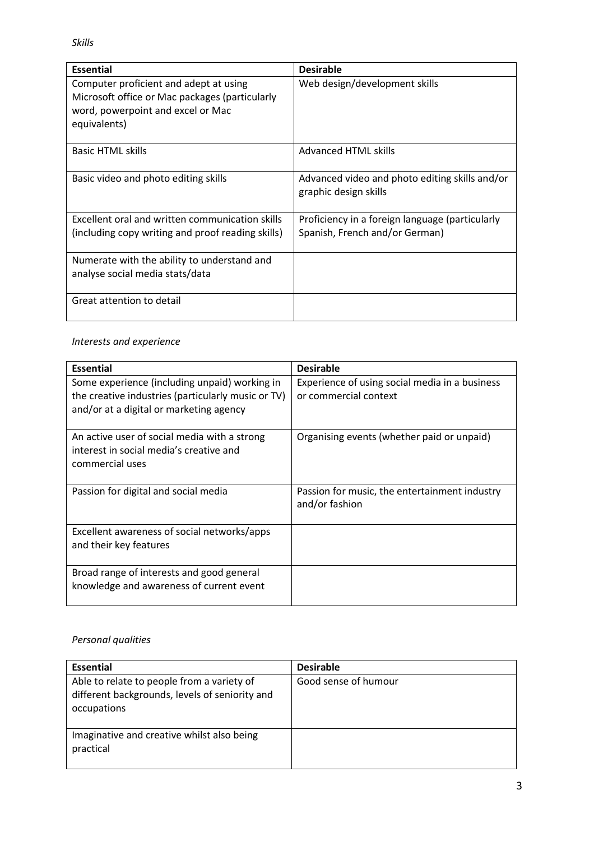*Skills*

| <b>Essential</b>                                                                                                                              | <b>Desirable</b>                                                                  |
|-----------------------------------------------------------------------------------------------------------------------------------------------|-----------------------------------------------------------------------------------|
| Computer proficient and adept at using<br>Microsoft office or Mac packages (particularly<br>word, powerpoint and excel or Mac<br>equivalents) | Web design/development skills                                                     |
| <b>Basic HTML skills</b>                                                                                                                      | <b>Advanced HTML skills</b>                                                       |
| Basic video and photo editing skills                                                                                                          | Advanced video and photo editing skills and/or<br>graphic design skills           |
| Excellent oral and written communication skills<br>(including copy writing and proof reading skills)                                          | Proficiency in a foreign language (particularly<br>Spanish, French and/or German) |
| Numerate with the ability to understand and<br>analyse social media stats/data                                                                |                                                                                   |
| Great attention to detail                                                                                                                     |                                                                                   |

# *Interests and experience*

| <b>Essential</b>                                                                                                                               | <b>Desirable</b>                                                        |  |
|------------------------------------------------------------------------------------------------------------------------------------------------|-------------------------------------------------------------------------|--|
| Some experience (including unpaid) working in<br>the creative industries (particularly music or TV)<br>and/or at a digital or marketing agency | Experience of using social media in a business<br>or commercial context |  |
| An active user of social media with a strong<br>interest in social media's creative and<br>commercial uses                                     | Organising events (whether paid or unpaid)                              |  |
| Passion for digital and social media                                                                                                           | Passion for music, the entertainment industry<br>and/or fashion         |  |
| Excellent awareness of social networks/apps<br>and their key features                                                                          |                                                                         |  |
| Broad range of interests and good general<br>knowledge and awareness of current event                                                          |                                                                         |  |

# *Personal qualities*

| <b>Essential</b>                                                                                            | <b>Desirable</b>     |
|-------------------------------------------------------------------------------------------------------------|----------------------|
| Able to relate to people from a variety of<br>different backgrounds, levels of seniority and<br>occupations | Good sense of humour |
| Imaginative and creative whilst also being<br>practical                                                     |                      |